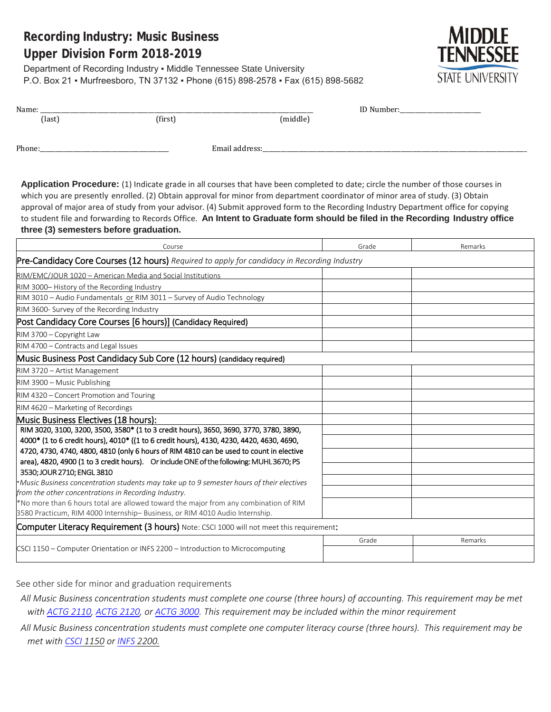# **Recording Industry: Music Business Upper Division Form 2018-2019**

Department of Recording Industry ▪ Middle Tennessee State University P.O. Box 21 ▪ Murfreesboro, TN 37132 ▪ Phone (615) 898-2578 ▪ Fax (615) 898-5682



| Name:  |         |                | ID Number:<br>the control of the control of the control of the |  |
|--------|---------|----------------|----------------------------------------------------------------|--|
| (last) | (first) | (middle)       |                                                                |  |
|        |         |                |                                                                |  |
| Phone: |         | Email address: |                                                                |  |
|        |         |                |                                                                |  |
|        |         |                |                                                                |  |

**Application Procedure:** (1) Indicate grade in all courses that have been completed to date; circle the number of those courses in which you are presently enrolled. (2) Obtain approval for minor from department coordinator of minor area of study. (3) Obtain approval of major area of study from your advisor. (4) Submit approved form to the Recording Industry Department office for copying to student file and forwarding to Records Office. **An Intent to Graduate form should be filed in the Recording Industry office three (3) semesters before graduation.**

| Course                                                                                                               | Grade | Remarks |
|----------------------------------------------------------------------------------------------------------------------|-------|---------|
| Pre-Candidacy Core Courses (12 hours) Required to apply for candidacy in Recording Industry                          |       |         |
| RIM/EMC/JOUR 1020 - American Media and Social Institutions                                                           |       |         |
| RIM 3000-History of the Recording Industry                                                                           |       |         |
| RIM 3010 - Audio Fundamentals or RIM 3011 - Survey of Audio Technology                                               |       |         |
| RIM 3600- Survey of the Recording Industry                                                                           |       |         |
| Post Candidacy Core Courses [6 hours)] (Candidacy Required)                                                          |       |         |
| RIM 3700 - Copyright Law                                                                                             |       |         |
| RIM 4700 - Contracts and Legal Issues                                                                                |       |         |
| Music Business Post Candidacy Sub Core (12 hours) (candidacy required)                                               |       |         |
| RIM 3720 - Artist Management                                                                                         |       |         |
| RIM 3900 - Music Publishing                                                                                          |       |         |
| RIM 4320 - Concert Promotion and Touring                                                                             |       |         |
| RIM 4620 - Marketing of Recordings                                                                                   |       |         |
| Music Business Electives (18 hours):                                                                                 |       |         |
| RIM 3020, 3100, 3200, 3500, 3580* (1 to 3 credit hours), 3650, 3690, 3770, 3780, 3890,                               |       |         |
| 4000* (1 to 6 credit hours), 4010* ((1 to 6 credit hours), 4130, 4230, 4420, 4630, 4690,                             |       |         |
| 4720, 4730, 4740, 4800, 4810 (only 6 hours of RIM 4810 can be used to count in elective                              |       |         |
| area), 4820, 4900 (1 to 3 credit hours). Or include ONE of the following: MUHL3670; PS<br>3530; JOUR 2710; ENGL 3810 |       |         |
| *Music Business concentration students may take up to 9 semester hours of their electives                            |       |         |
| from the other concentrations in Recording Industry.                                                                 |       |         |
| *No more than 6 hours total are allowed toward the major from any combination of RIM                                 |       |         |
| 3580 Practicum, RIM 4000 Internship-Business, or RIM 4010 Audio Internship.                                          |       |         |
| Computer Literacy Requirement (3 hours) Note: CSCI 1000 will not meet this requirement:                              |       |         |
|                                                                                                                      | Grade | Remarks |
| CSCI 1150 – Computer Orientation or INFS 2200 – Introduction to Microcomputing                                       |       |         |
|                                                                                                                      |       |         |

See other side for minor and graduation requirements

*All Music Business concentration students must complete one course (three hours) of accounting. This requirement may be met with [ACTG 2110,](http://catalog.mtsu.edu/preview_program.php?catoid=23&poid=7565&returnto=4191#tt1848) [ACTG 2120,](http://catalog.mtsu.edu/preview_program.php?catoid=23&poid=7565&returnto=4191#tt4783) o[r ACTG](http://catalog.mtsu.edu/preview_program.php?catoid=23&poid=7565&returnto=4191#tt1814) 3000. This requirement may be included within the minor requirement*

*All Music Business concentration students must complete one computer literacy course (three hours). This requirement may be met with [CSCI](http://catalog.mtsu.edu/preview_program.php?catoid=23&poid=7565&returnto=4191#tt1848) 1150 or [INFS](http://catalog.mtsu.edu/preview_program.php?catoid=23&poid=7565&returnto=4191#tt1814) 2200.*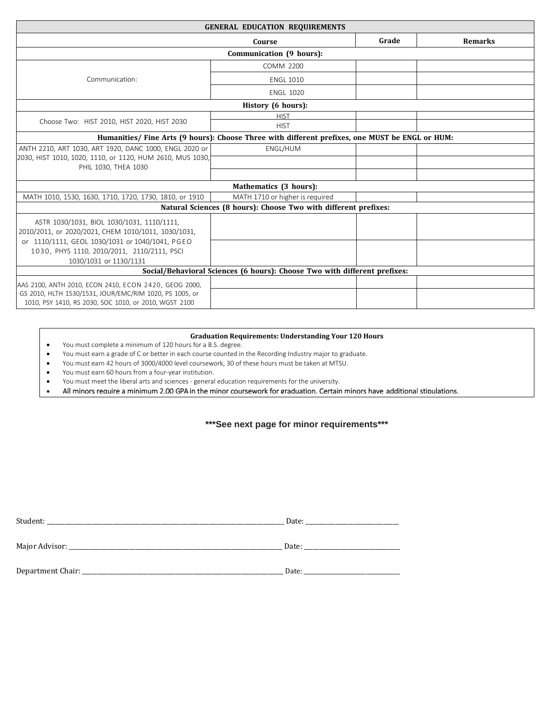| <b>GENERAL EDUCATION REQUIREMENTS</b>                                             |                                                                                                 |       |                |  |
|-----------------------------------------------------------------------------------|-------------------------------------------------------------------------------------------------|-------|----------------|--|
|                                                                                   | Course                                                                                          | Grade | <b>Remarks</b> |  |
|                                                                                   | Communication (9 hours):                                                                        |       |                |  |
|                                                                                   | <b>COMM 2200</b>                                                                                |       |                |  |
| Communication:                                                                    | <b>ENGL 1010</b>                                                                                |       |                |  |
|                                                                                   | <b>ENGL 1020</b>                                                                                |       |                |  |
|                                                                                   | History (6 hours):                                                                              |       |                |  |
|                                                                                   | <b>HIST</b>                                                                                     |       |                |  |
| Choose Two: HIST 2010, HIST 2020, HIST 2030                                       | <b>HIST</b>                                                                                     |       |                |  |
|                                                                                   | Humanities/ Fine Arts (9 hours): Choose Three with different prefixes, one MUST be ENGL or HUM: |       |                |  |
| ANTH 2210, ART 1030, ART 1920, DANC 1000, ENGL 2020 or                            | ENGL/HUM                                                                                        |       |                |  |
| 2030, HIST 1010, 1020, 1110, or 1120, HUM 2610, MUS 1030,<br>PHIL 1030, THEA 1030 |                                                                                                 |       |                |  |
|                                                                                   |                                                                                                 |       |                |  |
|                                                                                   | Mathematics (3 hours):                                                                          |       |                |  |
| MATH 1010, 1530, 1630, 1710, 1720, 1730, 1810, or 1910                            | MATH 1710 or higher is required                                                                 |       |                |  |
|                                                                                   | Natural Sciences (8 hours): Choose Two with different prefixes:                                 |       |                |  |
| ASTR 1030/1031, BIOL 1030/1031, 1110/1111,                                        |                                                                                                 |       |                |  |
| 2010/2011, or 2020/2021, CHEM 1010/1011, 1030/1031,                               |                                                                                                 |       |                |  |
| or 1110/1111, GEOL 1030/1031 or 1040/1041, PGEO                                   |                                                                                                 |       |                |  |
| 1030, PHYS 1110, 2010/2011, 2110/2111, PSCI                                       |                                                                                                 |       |                |  |
| 1030/1031 or 1130/1131                                                            |                                                                                                 |       |                |  |
| Social/Behavioral Sciences (6 hours): Choose Two with different prefixes:         |                                                                                                 |       |                |  |
| AAS 2100, ANTH 2010, ECON 2410, ECON 2420, GEOG 2000,                             |                                                                                                 |       |                |  |
| GS 2010, HLTH 1530/1531, JOUR/EMC/RIM 1020, PS 1005, or                           |                                                                                                 |       |                |  |
| 1010, PSY 1410, RS 2030, SOC 1010, or 2010, WGST 2100                             |                                                                                                 |       |                |  |

#### **Graduation Requirements: Understanding Your 120 Hours**

- You must complete a minimum of 120 hours for a B.S. degree.
- You must earn a grade of C or better in each course counted in the Recording Industry major to graduate.
- You must earn 42 hours of 3000/4000 level coursework, 30 of these hours must be taken at MTSU.
- You must earn 60 hours from a four-year institution.
- You must meet the liberal arts and sciences general education requirements for the university.
- All minors require a minimum 2.00 GPA in the minor coursework for graduation. Certain minors have additional stipulations.

## **\*\*\*See next page for minor requirements\*\*\***

| Student: | Date: |
|----------|-------|
|          | Date: |
|          | Date: |